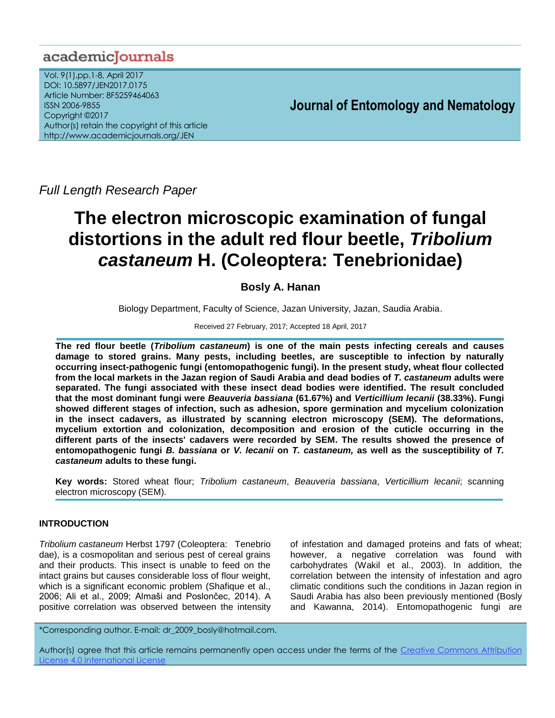## academicJournals

Vol. 9(1),pp.1-8, April 2017 DOI: 10.5897/JEN2017.0175 Article Number: 8F5259464063 ISSN 2006-9855 Copyright ©2017 Author(s) retain the copyright of this article http://www.academicjournals.org/JEN

**Journal of Entomology and Nematology**

*Full Length Research Paper*

# **The electron microscopic examination of fungal distortions in the adult red flour beetle,** *Tribolium castaneum* **H. (Coleoptera: Tenebrionidae)**

## **Bosly A. Hanan**

Biology Department, Faculty of Science, Jazan University, Jazan, Saudia Arabia.

Received 27 February, 2017; Accepted 18 April, 2017

**The red flour beetle (***Tribolium castaneum***) is one of the main pests infecting cereals and causes damage to stored grains. Many pests, including beetles, are susceptible to infection by naturally occurring insect-pathogenic fungi (entomopathogenic fungi). In the present study, wheat flour collected from the local markets in the Jazan region of Saudi Arabia and dead bodies of** *T. castaneum* **adults were separated. The fungi associated with these insect dead bodies were identified. The result concluded that the most dominant fungi were** *Beauveria bassiana* **(61.67%) and** *Verticillium lecanii* **(38.33%). Fungi showed different stages of infection, such as adhesion, spore germination and mycelium colonization in the insect cadavers, as illustrated by scanning electron microscopy (SEM). The deformations, mycelium extortion and colonization, decomposition and erosion of the cuticle occurring in the different parts of the insects' cadavers were recorded by SEM. The results showed the presence of entomopathogenic fungi** *B. bassiana* **or** *V. lecanii* **on** *T. castaneum,* **as well as the susceptibility of** *T. castaneum* **adults to these fungi.**

**Key words:** Stored wheat flour; *Tribolium castaneum*, *Beauveria bassiana*, *Verticillium lecanii*; scanning electron microscopy (SEM).

### **INTRODUCTION**

*Tribolium castaneum* Herbst 1797 (Coleoptera: Tenebrio dae), is a cosmopolitan and serious pest of cereal grains and their products. This insect is unable to feed on the intact grains but causes considerable loss of flour weight, which is a significant economic problem (Shafique et al., 2006; Ali et al., 2009; Almaši and Poslončec, 2014). A positive correlation was observed between the intensity of infestation and damaged proteins and fats of wheat; however, a negative correlation was found with carbohydrates (Wakil et al., 2003). In addition, the correlation between the intensity of infestation and agro climatic conditions such the conditions in Jazan region in Saudi Arabia has also been previously mentioned (Bosly and Kawanna, 2014). Entomopathogenic fungi are

\*Corresponding author. E-mail: dr\_2009\_bosly@hotmail.com.

Author(s) agree that this article remains permanently open access under the terms of the Creative Commons Attribution [License 4.0 International License](http://creativecommons.org/licenses/by/4.0/deed.en_US)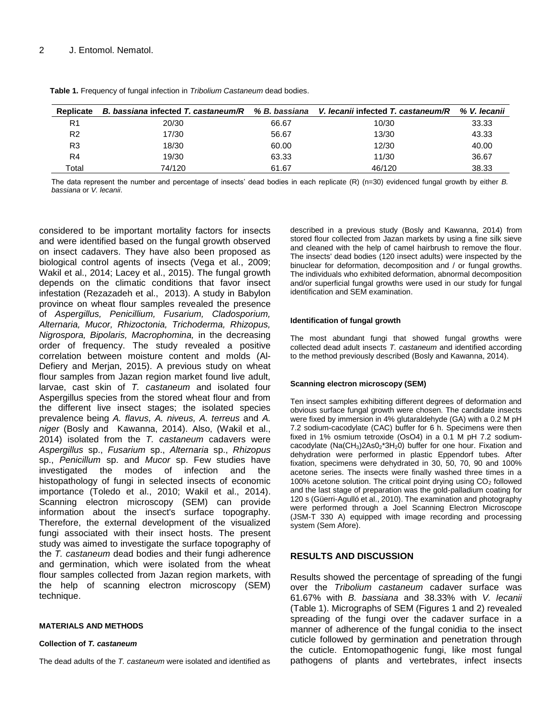| Replicate      | B. bassiana infected T. castaneum/R | % B. bassiana | V. lecanii infected T. castaneum/R | % V. lecanii |
|----------------|-------------------------------------|---------------|------------------------------------|--------------|
| R1             | 20/30                               | 66.67         | 10/30                              | 33.33        |
| R <sub>2</sub> | 17/30                               | 56.67         | 13/30                              | 43.33        |
| R <sub>3</sub> | 18/30                               | 60.00         | 12/30                              | 40.00        |
| R4             | 19/30                               | 63.33         | 11/30                              | 36.67        |
| Total          | 74/120                              | 61.67         | 46/120                             | 38.33        |

 **Table 1.** Frequency of fungal infection in *Tribolium Castaneum* dead bodies.

The data represent the number and percentage of insects' dead bodies in each replicate (R) (n=30) evidenced fungal growth by either *B. bassiana* or *V. lecanii*.

considered to be important mortality factors for insects and were identified based on the fungal growth observed on insect cadavers. They have also been proposed as biological control agents of insects (Vega et al., 2009; Wakil et al., 2014; Lacey et al., 2015). The fungal growth depends on the climatic conditions that favor insect infestation (Rezazadeh et al., 2013). A study in Babylon province on wheat flour samples revealed the presence of *Aspergillus, Penicillium, Fusarium, Cladosporium, Alternaria, Mucor, Rhizoctonia, Trichoderma, Rhizopus, Nigrospora, Bipolaris, Macrophomina,* in the decreasing order of frequency. The study revealed a positive correlation between moisture content and molds (Al-Defiery and Merjan, 2015). A previous study on wheat flour samples from Jazan region market found live adult, larvae, cast skin of *T. castaneum* and isolated four Aspergillus species from the stored wheat flour and from the different live insect stages; the isolated species prevalence being *A. flavus, A. niveus, A. terreus* and *A. niger* (Bosly and Kawanna, 2014). Also, (Wakil et al., 2014) isolated from the *T. castaneum* cadavers were *Aspergillus* sp., *Fusarium* sp., *Alternaria* sp., *Rhizopus* sp., *Penicillum* sp. and *Mucor* sp. Few studies have investigated the modes of infection and the histopathology of fungi in selected insects of economic importance (Toledo et al., 2010; Wakil et al., 2014). Scanning electron microscopy (SEM) can provide information about the insect's surface topography. Therefore, the external development of the visualized fungi associated with their insect hosts. The present study was aimed to investigate the surface topography of the *T. castaneum* dead bodies and their fungi adherence and germination, which were isolated from the wheat flour samples collected from Jazan region markets, with the help of scanning electron microscopy (SEM) technique.

#### **MATERIALS AND METHODS**

#### **Collection of** *T. castaneum*

The dead adults of the *T. castaneum* were isolated and identified as

described in a previous study (Bosly and Kawanna, 2014) from stored flour collected from Jazan markets by using a fine silk sieve and cleaned with the help of camel hairbrush to remove the flour. The insects' dead bodies (120 insect adults) were inspected by the binuclear for deformation, decomposition and / or fungal growths. The individuals who exhibited deformation, abnormal decomposition and/or superficial fungal growths were used in our study for fungal identification and SEM examination.

#### **Identification of fungal growth**

The most abundant fungi that showed fungal growths were collected dead adult insects *T. castaneum* and identified according to the method previously described (Bosly and Kawanna, 2014).

#### **Scanning electron microscopy (SEM)**

Ten insect samples exhibiting different degrees of deformation and obvious surface fungal growth were chosen. The candidate insects were fixed by immersion in 4% glutaraldehyde (GA) with a 0.2 M pH 7.2 sodium-cacodylate (CAC) buffer for 6 h. Specimens were then fixed in 1% osmium tetroxide (OsO4) in a 0.1 M pH 7.2 sodiumcacodylate (Na(CH<sub>3</sub>)2As0<sub>2</sub>\*3H<sub>2</sub>0) buffer for one hour. Fixation and dehydration were performed in plastic Eppendorf tubes. After fixation, specimens were dehydrated in 30, 50, 70, 90 and 100% acetone series. The insects were finally washed three times in a 100% acetone solution. The critical point drying using  $CO<sub>2</sub>$  followed and the last stage of preparation was the gold-palladium coating for 120 s (Güerri‐Agulló et al., 2010). The examination and photography were performed through a Joel Scanning Electron Microscope (JSM-T 330 A) equipped with image recording and processing system (Sem Afore).

#### **RESULTS AND DISCUSSION**

Results showed the percentage of spreading of the fungi over the *Tribolium castaneum* cadaver surface was 61.67% with *B. bassiana* and 38.33% with *V. lecanii* (Table 1). Micrographs of SEM (Figures 1 and 2) revealed spreading of the fungi over the cadaver surface in a manner of adherence of the fungal conidia to the insect cuticle followed by germination and penetration through the cuticle. Entomopathogenic fungi, like most fungal pathogens of plants and vertebrates, infect insects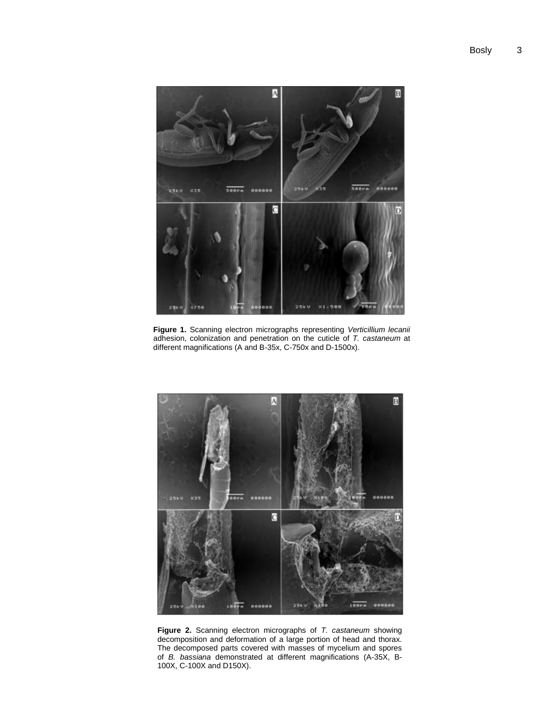

**Figure 1.** Scanning electron micrographs representing *Verticillium lecanii* adhesion, colonization and penetration on the cuticle of *T. castaneum* at different magnifications (A and B-35x, C-750x and D-1500x).



**Figure 2.** Scanning electron micrographs of *T. castaneum* showing decomposition and deformation of a large portion of head and thorax. The decomposed parts covered with masses of mycelium and spores of *B. bassiana* demonstrated at different magnifications (A-35X, B-100X, C-100X and D150X).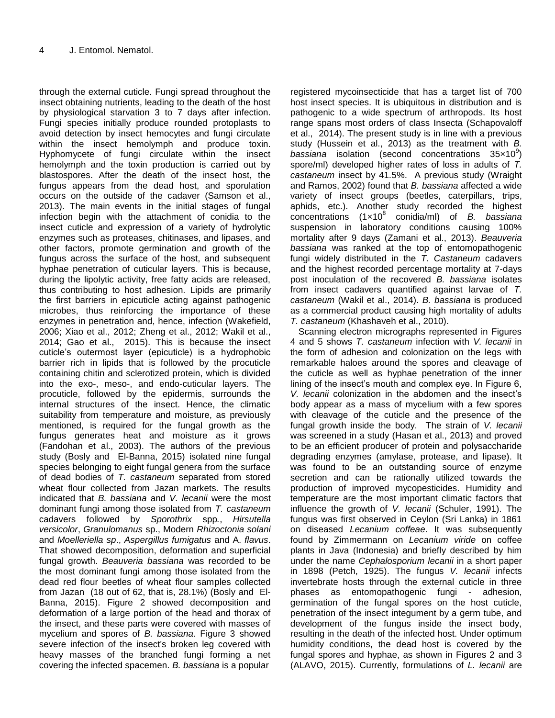through the external cuticle. Fungi spread throughout the insect obtaining nutrients, leading to the death of the host by physiological starvation 3 to 7 days after infection. Fungi species initially produce rounded protoplasts to avoid detection by insect hemocytes and fungi circulate within the insect hemolymph and produce toxin. Hyphomycete of fungi circulate within the insect hemolymph and the toxin production is carried out by blastospores. After the death of the insect host, the fungus appears from the dead host, and sporulation occurs on the outside of the cadaver (Samson et al., 2013). The main events in the initial stages of fungal infection begin with the attachment of conidia to the insect cuticle and expression of a variety of hydrolytic enzymes such as proteases, chitinases, and lipases, and other factors, promote germination and growth of the fungus across the surface of the host, and subsequent hyphae penetration of cuticular layers. This is because, during the lipolytic activity, free fatty acids are released, thus contributing to host adhesion. Lipids are primarily the first barriers in epicuticle acting against pathogenic microbes, thus reinforcing the importance of these enzymes in penetration and, hence, infection (Wakefield, 2006; Xiao et al., 2012; Zheng et al., 2012; Wakil et al., 2014; Gao et al., 2015). This is because the insect cuticle's outermost layer (epicuticle) is a hydrophobic barrier rich in lipids that is followed by the procuticle containing chitin and sclerotized protein, which is divided into the exo-, meso-, and endo-cuticular layers. The procuticle, followed by the epidermis, surrounds the internal structures of the insect. Hence, the climatic suitability from temperature and moisture, as previously mentioned, is required for the fungal growth as the fungus generates heat and moisture as it grows (Fandohan et al., 2003). The authors of the previous study (Bosly and El-Banna, 2015) isolated nine fungal species belonging to eight fungal genera from the surface of dead bodies of *T. castaneum* separated from stored wheat flour collected from Jazan markets. The results indicated that *B. bassiana* and *V. lecanii* were the most dominant fungi among those isolated from *T. castaneum* cadavers followed by *Sporothrix* spp*.*, *Hirsutella versicolor*, *Granulomanus* sp., Modern *Rhizoctonia solani* and *Moelleriella sp*., *Aspergillus fumigatus* and A. *flavus*. That showed decomposition, deformation and superficial fungal growth. *Beauveria bassiana* was recorded to be the most dominant fungi among those isolated from the dead red flour beetles of wheat flour samples collected from Jazan (18 out of 62, that is, 28.1%) (Bosly and El-Banna, 2015). Figure 2 showed decomposition and deformation of a large portion of the head and thorax of the insect, and these parts were covered with masses of mycelium and spores of *B. bassiana*. Figure 3 showed severe infection of the insect's broken leg covered with heavy masses of the branched fungi forming a net covering the infected spacemen. *B. bassiana* is a popular

registered mycoinsecticide that has a target list of 700 host insect species. It is ubiquitous in distribution and is pathogenic to a wide spectrum of arthropods. Its host range spans most orders of class Insecta (Schapovaloff et al., 2014). The present study is in line with a previous study (Hussein et al., 2013) as the treatment with *B.*  bassiana isolation (second concentrations 35x10<sup>9</sup>) spore/ml) developed higher rates of loss in adults of *T. castaneum* insect by 41.5%. A previous study (Wraight and Ramos, 2002) found that *B. bassiana* affected a wide variety of insect groups (beetles, caterpillars, trips, aphids, etc.). Another study recorded the highest concentrations (1×10<sup>8</sup> conidia/ml) of *B. bassiana* suspension in laboratory conditions causing 100% mortality after 9 days (Zamani et al., 2013). *Beauveria bassiana* was ranked at the top of entomopathogenic fungi widely distributed in the *T. Castaneum* cadavers and the highest recorded percentage mortality at 7-days post inoculation of the recovered *B. bassiana* isolates from insect cadavers quantified against larvae of *T. castaneum* (Wakil et al., 2014). *B. bassiana* is produced as a commercial product causing high mortality of adults *T. castaneum* (Khashaveh et al., 2010).

Scanning electron micrographs represented in Figures 4 and 5 shows *T. castaneum* infection with *V. lecanii* in the form of adhesion and colonization on the legs with remarkable haloes around the spores and cleavage of the cuticle as well as hyphae penetration of the inner lining of the insect's mouth and complex eye. In Figure 6, *V. lecanii* colonization in the abdomen and the insect's body appear as a mass of mycelium with a few spores with cleavage of the cuticle and the presence of the fungal growth inside the body. The strain of *V. lecanii* was screened in a study (Hasan et al., 2013) and proved to be an efficient producer of protein and polysaccharide degrading enzymes (amylase, protease, and lipase). It was found to be an outstanding source of enzyme secretion and can be rationally utilized towards the production of improved mycopesticides. Humidity and temperature are the most important climatic factors that influence the growth of *V. lecanii* (Schuler, 1991). The fungus was first observed in Ceylon (Sri Lanka) in 1861 on diseased *Lecanium coffeae*. It was subsequently found by Zimmermann on *Lecanium viride* on coffee plants in Java (Indonesia) and briefly described by him under the name *Cephalosporium lecanii* in a short paper in 1898 (Petch, 1925). The fungus *V. lecanii* infects invertebrate hosts through the external cuticle in three phases as entomopathogenic fungi - adhesion, germination of the fungal spores on the host cuticle, penetration of the insect integument by a germ tube, and development of the fungus inside the insect body, resulting in the death of the infected host. Under optimum humidity conditions, the dead host is covered by the fungal spores and hyphae, as shown in Figures 2 and 3 (ALAVO, 2015). Currently, formulations of *L. lecanii* are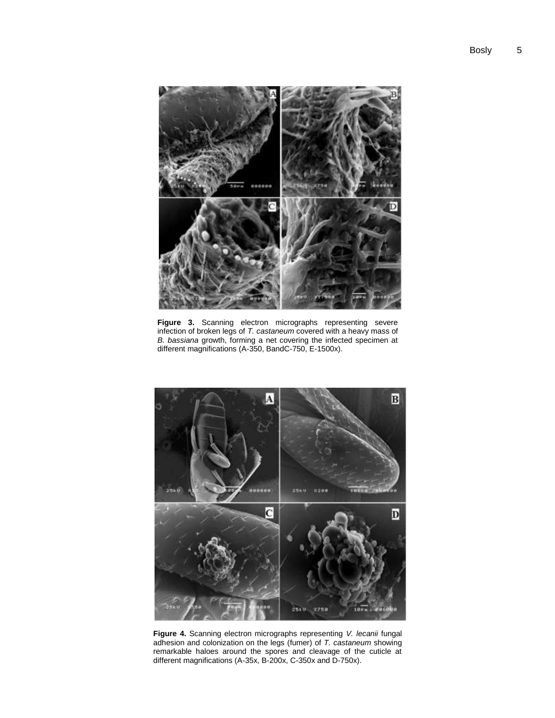

**Figure 3.** Scanning electron micrographs representing severe infection of broken legs of *T. castaneum* covered with a heavy mass of *B. bassiana* growth, forming a net covering the infected specimen at different magnifications (A-350, BandC-750, E-1500x).



**Figure 4.** Scanning electron micrographs representing *V. lecanii* fungal adhesion and colonization on the legs (fumer) of *T. castaneum* showing remarkable haloes around the spores and cleavage of the cuticle at different magnifications (A-35x, B-200x, C-350x and D-750x).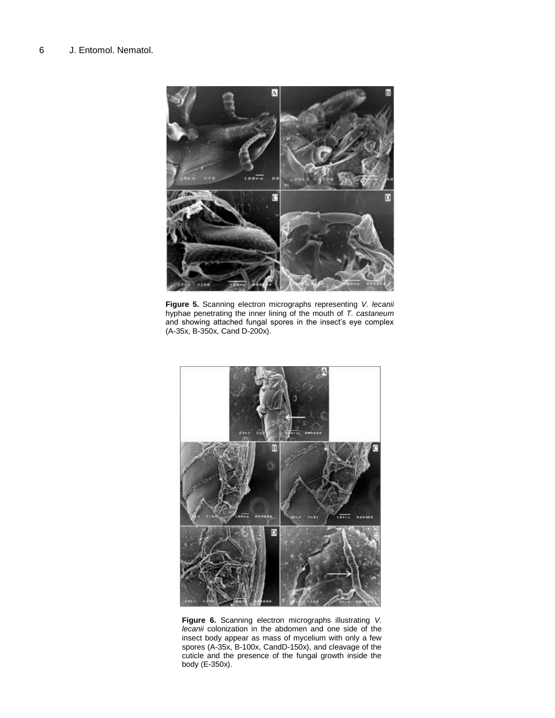

**Figure 5.** Scanning electron micrographs representing *V. lecanii* hyphae penetrating the inner lining of the mouth of *T. castaneum* and showing attached fungal spores in the insect's eye complex (A-35x, B-350x, Cand D-200x).



**Figure 6.** Scanning electron micrographs illustrating *V. lecanii* colonization in the abdomen and one side of the insect body appear as mass of mycelium with only a few spores (A-35x, B-100x, CandD-150x), and cleavage of the cuticle and the presence of the fungal growth inside the body (E-350x).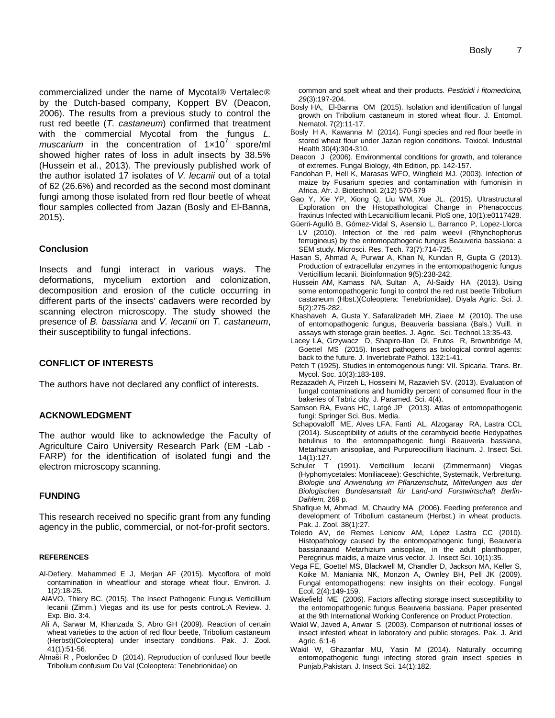commercialized under the name of Mycotal<sup>®</sup> Vertalec<sup>®</sup> by the Dutch-based company, Koppert BV (Deacon, 2006). The results from a previous study to control the rust red beetle (*T. castaneum*) confirmed that treatment with the commercial Mycotal from the fungus *L.*  muscarium in the concentration of 1x10<sup>7</sup> spore/ml showed higher rates of loss in adult insects by 38.5% (Hussein et al., 2013). The previously published work of the author isolated 17 isolates of *V. lecanii* out of a total of 62 (26.6%) and recorded as the second most dominant fungi among those isolated from red flour beetle of wheat flour samples collected from Jazan (Bosly and El-Banna, 2015).

#### **Conclusion**

Insects and fungi interact in various ways. The deformations, mycelium extortion and colonization, decomposition and erosion of the cuticle occurring in different parts of the insects' cadavers were recorded by scanning electron microscopy. The study showed the presence of *B. bassiana* and *V. lecanii* on *T. castaneum*, their susceptibility to fungal infections.

#### **CONFLICT OF INTERESTS**

The authors have not declared any conflict of interests.

#### **ACKNOWLEDGMENT**

The author would like to acknowledge the Faculty of Agriculture Cairo University Research Park (EM -Lab - FARP) for the identification of isolated fungi and the electron microscopy scanning.

#### **FUNDING**

This research received no specific grant from any funding agency in the public, commercial, or not-for-profit sectors.

#### **REFERENCES**

- Al-Defiery, Mahammed E J, Merjan AF (2015). Mycoflora of mold contamination in wheatflour and storage wheat flour. Environ. J. 1(2):18-25.
- AlAVO, Thiery BC. (2015). The Insect Pathogenic Fungus Verticillium lecanii (Zimm.) Viegas and its use for pests controL:A Review. J. Exp. Bio. 3:4.
- Ali A, Sarwar M, Khanzada S, Abro GH (2009). Reaction of certain wheat varieties to the action of red flour beetle, Tribolium castaneum (Herbst)(Coleoptera) under insectary conditions. Pak. J. Zool. 41(1):51-56.
- Almaši R , Poslončec D (2014). Reproduction of confused flour beetle Tribolium confusum Du Val (Coleoptera: Tenebrionidae) on

 common and spelt wheat and their products. *Pesticidi i fitomedicina, 29*(3):197-204.

- Bosly HA, El-Banna OM (2015). Isolation and identification of fungal growth on Tribolium castaneum in stored wheat flour. J. Entomol. Nematol. 7(2):11-17.
- Bosly H A, Kawanna M (2014). Fungi species and red flour beetle in stored wheat flour under Jazan region conditions. Toxicol. Industrial Health 30(4):304-310.
- Deacon J (2006). Environmental conditions for growth, and tolerance of extremes. Fungal Biology, 4th Edition, pp. 142-157.
- Fandohan P, Hell K, Marasas WFO, Wingfield MJ. (2003). Infection of maize by Fusarium species and contamination with fumonisin in Africa. Afr. J. Biotechnol. 2(12) 570-579
- Gao Y, Xie YP, Xiong Q, Liu WM, Xue JL. (2015). Ultrastructural Exploration on the Histopathological Change in Phenacoccus fraxinus Infected with Lecanicillium lecanii. PloS one, 10(1):e0117428.
- Güerri‐Agulló B, Gómez‐Vidal S, Asensio L, Barranco P, Lopez‐Llorca LV (2010). Infection of the red palm weevil (Rhynchophorus ferrugineus) by the entomopathogenic fungus Beauveria bassiana: a SEM study. Microsci. Res. Tech. 73(7):714-725.
- Hasan S, Ahmad A, Purwar A, Khan N, Kundan R, Gupta G (2013). Production of extracellular enzymes in the entomopathogenic fungus Verticillium lecanii. Bioinformation 9(5):238-242.
- Hussein AM, Kamass NA, Sultan A, Al-Saidy HA (2013). Using some entomopathogenic fungi to control the red rust beetle Tribolium castaneum (Hbst.)(Coleoptera: Tenebrionidae). Diyala Agric. Sci. J. 5(2):275-282.
- Khashaveh A, Gusta Y, Safaralizadeh MH, Ziaee M (2010). The use of entomopathogenic fungus, Beauveria bassiana (Bals.) Vuill. in assays with storage grain beetles. J. Agric. Sci. Technol.13:35-43.
- Lacey LA, Grzywacz D, Shapiro-Ilan DI, Frutos R, Brownbridge M, Goettel MS (2015). Insect pathogens as biological control agents: back to the future. J. Invertebrate Pathol. 132:1-41.
- Petch T (1925). Studies in entomogenous fungi: VII. Spicaria. Trans. Br. Mycol. Soc. 10(3):183-189.
- Rezazadeh A, Pirzeh L, Hosseini M, Razavieh SV. (2013). Evaluation of fungal contaminations and humidity percent of consumed flour in the bakeries of Tabriz city. J. Paramed. Sci. 4(4).
- Samson RA, Evans HC, Latgé JP (2013). Atlas of entomopathogenic fungi: Springer Sci. Bus. Media.
- Schapovaloff ME, Alves LFA, Fanti AL, Alzogaray RA, Lastra CCL (2014). Susceptibility of adults of the cerambycid beetle Hedypathes betulinus to the entomopathogenic fungi Beauveria bassiana, Metarhizium anisopliae, and Purpureocillium lilacinum. J. Insect Sci. 14(1):127.
- Schuler T (1991). Verticillium lecanii (Zimmermann) Viegas (Hyphomycetales: Moniliaceae): Geschichte, Systematik, Verbreitung. *Biologie und Anwendung im Pflanzenschutz, Mitteilungen aus der Biologischen Bundesanstalt für Land-und Forstwirtschaft Berlin-Dahlem,* 269 p.
- Shafique M, Ahmad M, Chaudry MA (2006). Feeding preference and development of Tribolium castaneum (Herbst.) in wheat products. Pak. J. Zool. 38(1):27.
- Toledo AV, de Remes Lenicov AM, López Lastra CC (2010). Histopathology caused by the entomopathogenic fungi, Beauveria bassianaand Metarhizium anisopliae, in the adult planthopper, Peregrinus maidis, a maize virus vector. J. Insect Sci. 10(1):35.
- Vega FE, Goettel MS, Blackwell M, Chandler D, Jackson MA, Keller S, Koike M, Maniania NK, Monzon A, Ownley BH, Pell JK (2009). Fungal entomopathogens: new insights on their ecology. Fungal Ecol. 2(4):149-159.
- Wakefield ME (2006). Factors affecting storage insect susceptibility to the entomopathogenic fungus Beauveria bassiana. Paper presented at the 9th International Working Conference on Product Protection.
- Wakil W, Javed A, Anwar S (2003). Comparison of nutritional losses of insect infested wheat in laboratory and public storages. Pak. J. Arid Agric. 6:1-6
- Wakil W, Ghazanfar MU, Yasin M (2014). Naturally occurring entomopathogenic fungi infecting stored grain insect species in Punjab,Pakistan. J. Insect Sci. 14(1):182.